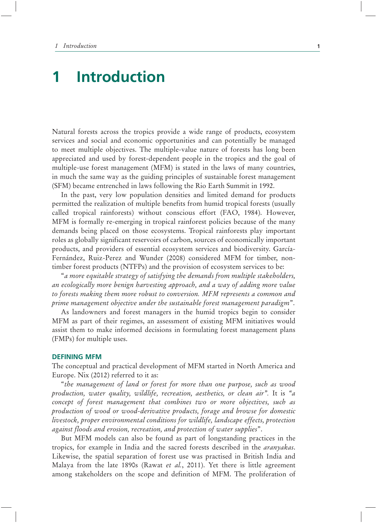# **1 Introduction**

Natural forests across the tropics provide a wide range of products, ecosystem services and social and economic opportunities and can potentially be managed to meet multiple objectives. The multiple-value nature of forests has long been appreciated and used by forest-dependent people in the tropics and the goal of multiple-use forest management (MFM) is stated in the laws of many countries, in much the same way as the guiding principles of sustainable forest management (SFM) became entrenched in laws following the Rio Earth Summit in 1992.

In the past, very low population densities and limited demand for products permitted the realization of multiple benefits from humid tropical forests (usually called tropical rainforests) without conscious effort (FAO, 1984). However, MFM is formally re-emerging in tropical rainforest policies because of the many demands being placed on those ecosystems. Tropical rainforests play important roles as globally significant reservoirs of carbon, sources of economically important products, and providers of essential ecosystem services and biodiversity. García-Fernández, Ruiz-Perez and Wunder (2008) considered MFM for timber, nontimber forest products (NTFPs) and the provision of ecosystem services to be:

"*a more equitable strategy of satisfying the demands from multiple stakeholders, an ecologically more benign harvesting approach, and a way of adding more value to forests making them more robust to conversion. MFM represents a common and prime management objective under the sustainable forest management paradigm*".

As landowners and forest managers in the humid tropics begin to consider MFM as part of their regimes, an assessment of existing MFM initiatives would assist them to make informed decisions in formulating forest management plans (FMPs) for multiple uses.

### **DEFINING MFM**

The conceptual and practical development of MFM started in North America and Europe. Nix (2012) referred to it as:

"*the management of land or forest for more than one purpose, such as wood production, water quality, wildlife, recreation, aesthetics, or clean air".* It is *"a concept of forest management that combines two or more objectives, such as production of wood or wood-derivative products, forage and browse for domestic livestock, proper environmental conditions for wildlife, landscape effects, protection against floods and erosion, recreation, and protection of water supplies*".

But MFM models can also be found as part of longstanding practices in the tropics, for example in India and the sacred forests described in the *aranyakas*. Likewise, the spatial separation of forest use was practised in British India and Malaya from the late 1890s (Rawat *et al.*, 2011). Yet there is little agreement among stakeholders on the scope and definition of MFM. The proliferation of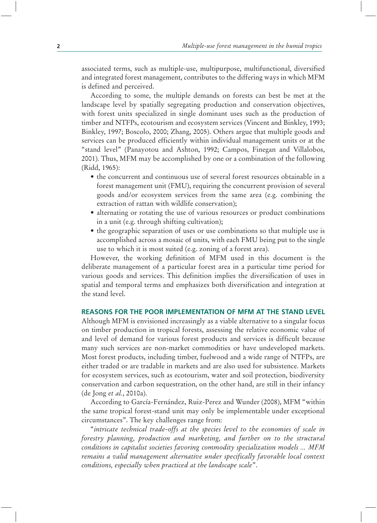associated terms, such as multiple-use, multipurpose, multifunctional, diversified and integrated forest management, contributes to the differing ways in which MFM is defined and perceived.

According to some, the multiple demands on forests can best be met at the landscape level by spatially segregating production and conservation objectives, with forest units specialized in single dominant uses such as the production of timber and NTFPs, ecotourism and ecosystem services (Vincent and Binkley, 1993; Binkley, 1997; Boscolo, 2000; Zhang, 2005). Others argue that multiple goods and services can be produced efficiently within individual management units or at the "stand level" (Panayotou and Ashton, 1992; Campos, Finegan and Villalobos, 2001). Thus, MFM may be accomplished by one or a combination of the following (Ridd, 1965):

- the concurrent and continuous use of several forest resources obtainable in a forest management unit (FMU), requiring the concurrent provision of several goods and/or ecosystem services from the same area (e.g. combining the extraction of rattan with wildlife conservation);
- alternating or rotating the use of various resources or product combinations in a unit (e.g. through shifting cultivation);
- the geographic separation of uses or use combinations so that multiple use is accomplished across a mosaic of units, with each FMU being put to the single use to which it is most suited (e.g. zoning of a forest area).

However, the working definition of MFM used in this document is the deliberate management of a particular forest area in a particular time period for various goods and services. This definition implies the diversification of uses in spatial and temporal terms and emphasizes both diversification and integration at the stand level.

## **REASONS FOR THE POOR IMPLEMENTATION OF MFM AT THE STAND LEVEL**

Although MFM is envisioned increasingly as a viable alternative to a singular focus on timber production in tropical forests, assessing the relative economic value of and level of demand for various forest products and services is difficult because many such services are non-market commodities or have undeveloped markets. Most forest products, including timber, fuelwood and a wide range of NTFPs, are either traded or are tradable in markets and are also used for subsistence. Markets for ecosystem services, such as ecotourism, water and soil protection, biodiversity conservation and carbon sequestration, on the other hand, are still in their infancy (de Jong *et al.*, 2010a).

According to García-Fernández, Ruiz-Perez and Wunder (2008), MFM "within the same tropical forest-stand unit may only be implementable under exceptional circumstances". The key challenges range from:

"*intricate technical trade-offs at the species level to the economies of scale in forestry planning, production and marketing, and further on to the structural conditions in capitalist societies favoring commodity specialization models ... MFM remains a valid management alternative under specifically favorable local context conditions, especially when practiced at the landscape scale*".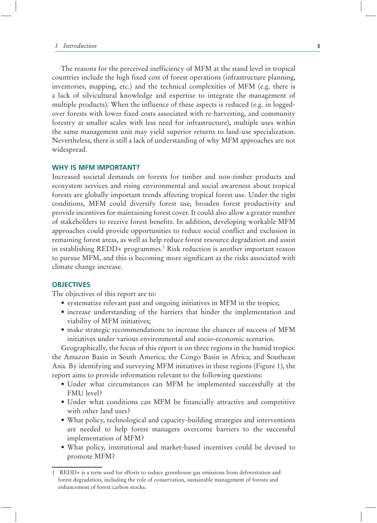The reasons for the perceived inefficiency of MFM at the stand level in tropical countries include the high fixed cost of forest operations (infrastructure planning, inventories, mapping, etc.) and the technical complexities of MFM (e.g. there is a lack of silvicultural knowledge and expertise to integrate the management of multiple products). When the influence of these aspects is reduced (e.g. in loggedover forests with lower fixed costs associated with re-harvesting, and community forestry at smaller scales with less need for infrastructure), multiple uses within the same management unit may yield superior returns to land-use specialization. Nevertheless, there is still a lack of understanding of why MFM approaches are not widespread.

### **WHY IS MFM IMPORTANT?**

Increased societal demands on forests for timber and non-timber products and ecosystem services and rising environmental and social awareness about tropical forests are globally important trends affecting tropical forest use. Under the right conditions, MFM could diversify forest use, broaden forest productivity and provide incentives for maintaining forest cover. It could also allow a greater number of stakeholders to receive forest benefits. In addition, developing workable MFM approaches could provide opportunities to reduce social conflict and exclusion in remaining forest areas, as well as help reduce forest resource degradation and assist in establishing REDD+ programmes.1 Risk reduction is another important reason to pursue MFM, and this is becoming more significant as the risks associated with climate change increase.

## **OBJECTIVES**

The objectives of this report are to:

- systematize relevant past and ongoing initiatives in MFM in the tropics;
- increase understanding of the barriers that hinder the implementation and viability of MFM initiatives;
- make strategic recommendations to increase the chances of success of MFM initiatives under various environmental and socio-economic scenarios.

Geographically, the focus of this report is on three regions in the humid tropics: the Amazon Basin in South America; the Congo Basin in Africa; and Southeast Asia. By identifying and surveying MFM initiatives in these regions (Figure 1), the report aims to provide information relevant to the following questions:

- Under what circumstances can MFM be implemented successfully at the FMU level?
- Under what conditions can MFM be financially attractive and competitive with other land uses?
- What policy, technological and capacity-building strategies and interventions are needed to help forest managers overcome barriers to the successful implementation of MFM?
- What policy, institutional and market-based incentives could be devised to promote MFM?

<sup>1</sup> REDD+ is a term used for efforts to reduce greenhouse gas emissions from deforestation and forest degradation, including the role of conservation, sustainable management of forests and enhancement of forest carbon stocks.